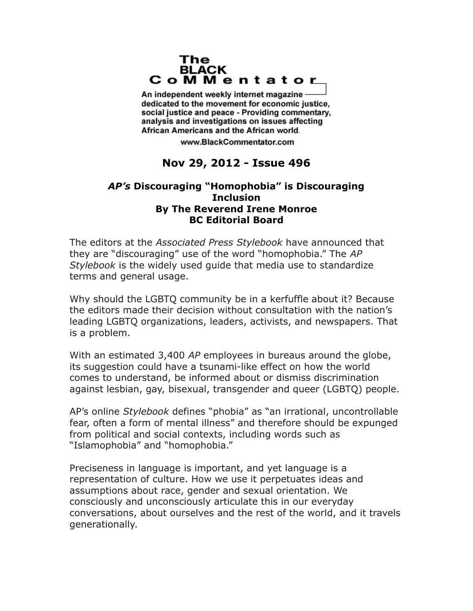## The **BLACK** CoMMentator

An independent weekly internet magazine dedicated to the movement for economic justice. social justice and peace - Providing commentary, analysis and investigations on issues affecting African Americans and the African world.

www.BlackCommentator.com

## **Nov 29, 2012 - Issue 496**

## *AP's* **Discouraging "Homophobia" is Discouraging Inclusion By The Reverend Irene Monroe BC Editorial Board**

The editors at the *Associated Press Stylebook* have announced that they are "discouraging" use of the word "homophobia." The *AP Stylebook* is the widely used guide that media use to standardize terms and general usage.

Why should the LGBTQ community be in a kerfuffle about it? Because the editors made their decision without consultation with the nation's leading LGBTQ organizations, leaders, activists, and newspapers. That is a problem.

With an estimated 3,400 *AP* employees in bureaus around the globe, its suggestion could have a tsunami-like effect on how the world comes to understand, be informed about or dismiss discrimination against lesbian, gay, bisexual, transgender and queer (LGBTQ) people.

AP's online *Stylebook* defines "phobia" as "an irrational, uncontrollable fear, often a form of mental illness" and therefore should be expunged from political and social contexts, including words such as "Islamophobia" and "homophobia."

Preciseness in language is important, and yet language is a representation of culture. How we use it perpetuates ideas and assumptions about race, gender and sexual orientation. We consciously and unconsciously articulate this in our everyday conversations, about ourselves and the rest of the world, and it travels generationally.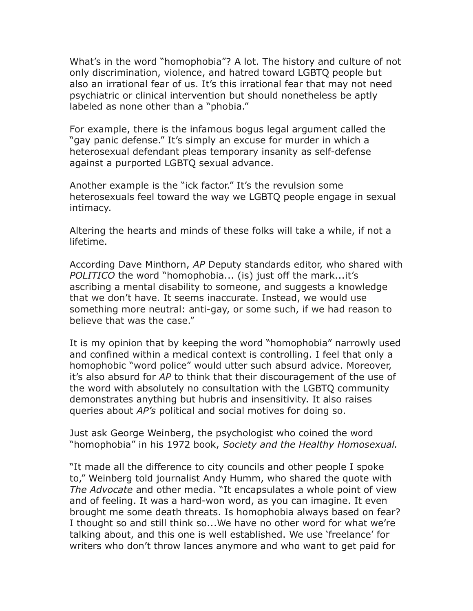What's in the word "homophobia"? A lot. The history and culture of not only discrimination, violence, and hatred toward LGBTQ people but also an irrational fear of us. It's this irrational fear that may not need psychiatric or clinical intervention but should nonetheless be aptly labeled as none other than a "phobia."

For example, there is the infamous bogus legal argument called the "gay panic defense." It's simply an excuse for murder in which a heterosexual defendant pleas temporary insanity as self-defense against a purported LGBTQ sexual advance.

Another example is the "ick factor." It's the revulsion some heterosexuals feel toward the way we LGBTQ people engage in sexual intimacy.

Altering the hearts and minds of these folks will take a while, if not a lifetime.

According Dave Minthorn, *AP* Deputy standards editor, who shared with *POLITICO* the word "homophobia... (is) just off the mark...it's ascribing a mental disability to someone, and suggests a knowledge that we don't have. It seems inaccurate. Instead, we would use something more neutral: anti-gay, or some such, if we had reason to believe that was the case."

It is my opinion that by keeping the word "homophobia" narrowly used and confined within a medical context is controlling. I feel that only a homophobic "word police" would utter such absurd advice. Moreover, it's also absurd for *AP* to think that their discouragement of the use of the word with absolutely no consultation with the LGBTQ community demonstrates anything but hubris and insensitivity. It also raises queries about *AP's* political and social motives for doing so.

Just ask George Weinberg, the psychologist who coined the word "homophobia" in his 1972 book, *Society and the Healthy Homosexual.*

"It made all the difference to city councils and other people I spoke to," Weinberg told journalist Andy Humm, who shared the quote with *The Advocate* and other media. "It encapsulates a whole point of view and of feeling. It was a hard-won word, as you can imagine. It even brought me some death threats. Is homophobia always based on fear? I thought so and still think so...We have no other word for what we're talking about, and this one is well established. We use 'freelance' for writers who don't throw lances anymore and who want to get paid for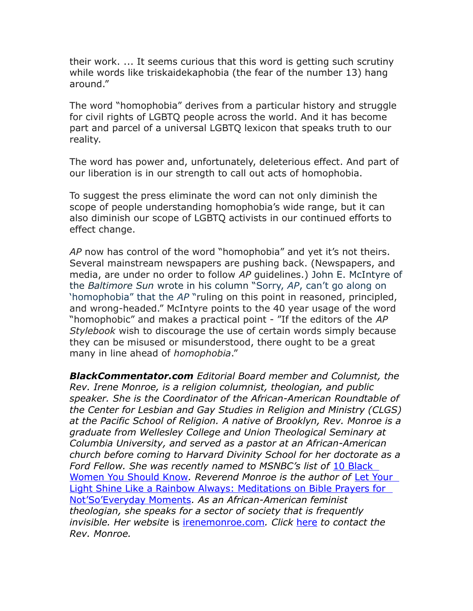their work. ... It seems curious that this word is getting such scrutiny while words like triskaidekaphobia (the fear of the number 13) hang around."

The word "homophobia" derives from a particular history and struggle for civil rights of LGBTQ people across the world. And it has become part and parcel of a universal LGBTQ lexicon that speaks truth to our reality.

The word has power and, unfortunately, deleterious effect. And part of our liberation is in our strength to call out acts of homophobia.

To suggest the press eliminate the word can not only diminish the scope of people understanding homophobia's wide range, but it can also diminish our scope of LGBTQ activists in our continued efforts to effect change.

*AP* now has control of the word "homophobia" and yet it's not theirs. Several mainstream newspapers are pushing back. (Newspapers, and media, are under no order to follow *AP* guidelines.) John E. McIntyre of the *Baltimore Sun* wrote in his column "Sorry, *AP*, can't go along on 'homophobia" that the *AP* "ruling on this point in reasoned, principled, and wrong-headed." McIntyre points to the 40 year usage of the word "homophobic" and makes a practical point - "If the editors of the *AP Stylebook* wish to discourage the use of certain words simply because they can be misused or misunderstood, there ought to be a great many in line ahead of *homophobia*."

*BlackCommentator.com Editorial Board member and Columnist, the Rev. Irene Monroe, is a religion columnist, theologian, and public speaker. She is the Coordinator of the African-American Roundtable of the Center for Lesbian and Gay Studies in Religion and Ministry (CLGS) at the Pacific School of Religion. A native of Brooklyn, Rev. Monroe is a graduate from Wellesley College and Union Theological Seminary at Columbia University, and served as a pastor at an African-American church before coming to Harvard Divinity School for her doctorate as a Ford Fellow. She was recently named to MSNBC's list of* [10 Black](http://www.google.com/url?sa=X&q=http://www.thegrio.com/2009/10/in-every-social-movement-in.php&ct=ga&cd=1qlFs7gbCWA&usg=AFQjCNGF0rCEwOQEVWsYABX0oBwIEZS8TA)  [Women You Should Know](http://www.google.com/url?sa=X&q=http://www.thegrio.com/2009/10/in-every-social-movement-in.php&ct=ga&cd=1qlFs7gbCWA&usg=AFQjCNGF0rCEwOQEVWsYABX0oBwIEZS8TA)*. Reverend Monroe is the author of* [Let Your](http://www.amazon.com/gp/product/1593500777?ie=UTF8&tag=blackcommenta-20&link_code=as3&camp=211189&creative=373489&creativeASIN=1593500777)  [Light Shine Like a Rainbow Always: Meditations on Bible Prayers for](http://www.amazon.com/gp/product/1593500777?ie=UTF8&tag=blackcommenta-20&link_code=as3&camp=211189&creative=373489&creativeASIN=1593500777)  [Not'So'Everyday Moments](http://www.amazon.com/gp/product/1593500777?ie=UTF8&tag=blackcommenta-20&link_code=as3&camp=211189&creative=373489&creativeASIN=1593500777)*. As an African-American feminist theologian, she speaks for a sector of society that is frequently invisible. Her website* is [irenemonroe.com](http://www.irenemonroe.com/)*. Click* [here](http://www.blackcommentator.com/contact_forms/irene_monroe/gbcf_form.php) *to contact the Rev. Monroe.*